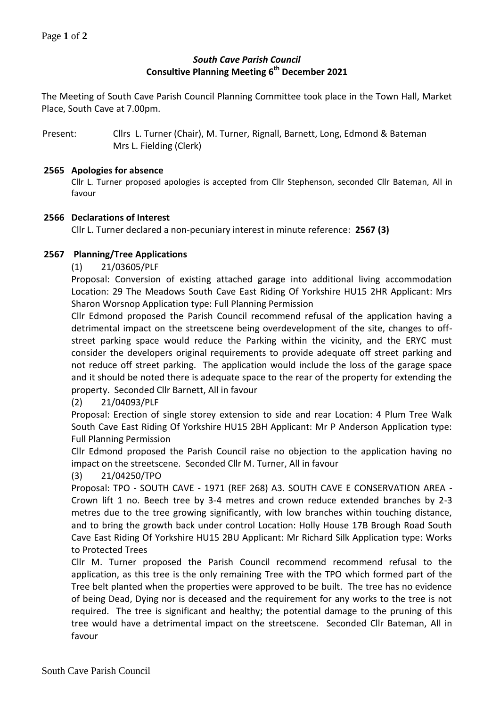# *South Cave Parish Council* **Consultive Planning Meeting 6 th December 2021**

The Meeting of South Cave Parish Council Planning Committee took place in the Town Hall, Market Place, South Cave at 7.00pm.

Present: Cllrs L. Turner (Chair), M. Turner, Rignall, Barnett, Long, Edmond & Bateman Mrs L. Fielding (Clerk)

#### **2565 Apologies for absence**

Cllr L. Turner proposed apologies is accepted from Cllr Stephenson, seconded Cllr Bateman, All in favour

## **2566 Declarations of Interest**

Cllr L. Turner declared a non-pecuniary interest in minute reference: **2567 (3)**

## **2567 Planning/Tree Applications**

(1) 21/03605/PLF

Proposal: Conversion of existing attached garage into additional living accommodation Location: 29 The Meadows South Cave East Riding Of Yorkshire HU15 2HR Applicant: Mrs Sharon Worsnop Application type: Full Planning Permission

Cllr Edmond proposed the Parish Council recommend refusal of the application having a detrimental impact on the streetscene being overdevelopment of the site, changes to offstreet parking space would reduce the Parking within the vicinity, and the ERYC must consider the developers original requirements to provide adequate off street parking and not reduce off street parking. The application would include the loss of the garage space and it should be noted there is adequate space to the rear of the property for extending the property. Seconded Cllr Barnett, All in favour

# (2) 21/04093/PLF

Proposal: Erection of single storey extension to side and rear Location: 4 Plum Tree Walk South Cave East Riding Of Yorkshire HU15 2BH Applicant: Mr P Anderson Application type: Full Planning Permission

Cllr Edmond proposed the Parish Council raise no objection to the application having no impact on the streetscene. Seconded Cllr M. Turner, All in favour

#### (3) 21/04250/TPO

Proposal: TPO - SOUTH CAVE - 1971 (REF 268) A3. SOUTH CAVE E CONSERVATION AREA - Crown lift 1 no. Beech tree by 3-4 metres and crown reduce extended branches by 2-3 metres due to the tree growing significantly, with low branches within touching distance, and to bring the growth back under control Location: Holly House 17B Brough Road South Cave East Riding Of Yorkshire HU15 2BU Applicant: Mr Richard Silk Application type: Works to Protected Trees

Cllr M. Turner proposed the Parish Council recommend recommend refusal to the application, as this tree is the only remaining Tree with the TPO which formed part of the Tree belt planted when the properties were approved to be built. The tree has no evidence of being Dead, Dying nor is deceased and the requirement for any works to the tree is not required. The tree is significant and healthy; the potential damage to the pruning of this tree would have a detrimental impact on the streetscene. Seconded Cllr Bateman, All in favour